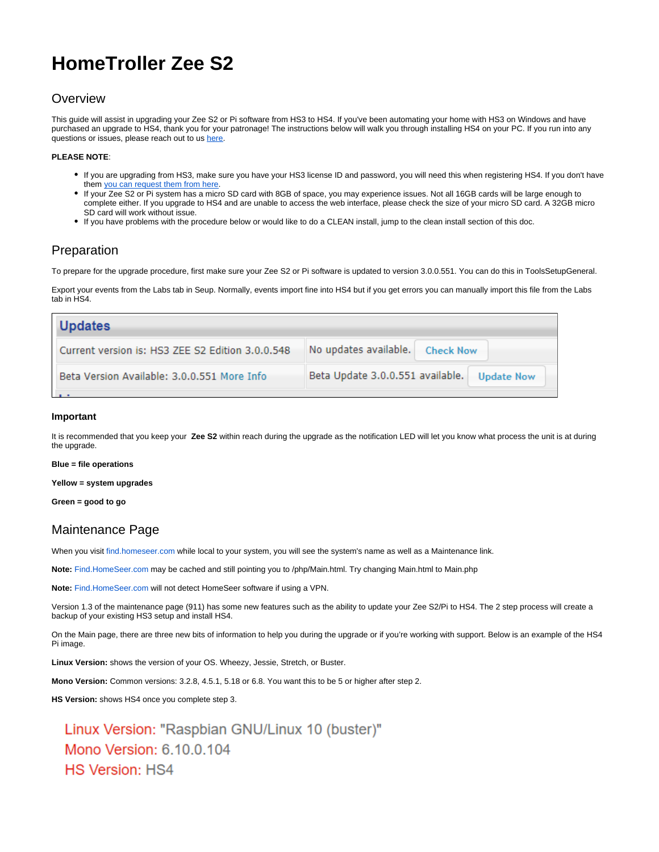# **HomeTroller Zee S2**

## **Overview**

This guide will assist in upgrading your Zee S2 or Pi software from HS3 to HS4. If you've been automating your home with HS3 on Windows and have purchased an upgrade to HS4, thank you for your patronage! The instructions below will walk you through installing HS4 on your PC. If you run into any questions or issues, please reach out to us [here](https://homeseer.com/contact-us/).

#### **PLEASE NOTE**:

- If you are upgrading from HS3, make sure you have your HS3 license ID and password, you will need this when registering HS4. If you don't have them [you can request them from here](https://homeseer.com/support-home/#LICENSING).
- If your Zee S2 or Pi system has a micro SD card with 8GB of space, you may experience issues. Not all 16GB cards will be large enough to complete either. If you upgrade to HS4 and are unable to access the web interface, please check the size of your micro SD card. A 32GB micro SD card will work without issue.
- If you have problems with the procedure below or would like to do a CLEAN install, jump to the clean install section of this doc.

#### Preparation

To prepare for the upgrade procedure, first make sure your Zee S2 or Pi software is updated to version 3.0.0.551. You can do this in ToolsSetupGeneral.

Export your events from the Labs tab in Seup. Normally, events import fine into HS4 but if you get errors you can manually import this file from the Labs tab in HS4.

| <b>Updates</b>                                   |                                                       |
|--------------------------------------------------|-------------------------------------------------------|
| Current version is: HS3 ZEE S2 Edition 3.0.0.548 | No updates available.<br><b>Check Now</b>             |
| Beta Version Available: 3.0.0.551 More Info      | Beta Update 3.0.0.551 available.<br><b>Update Now</b> |
|                                                  |                                                       |

#### **Important**

It is recommended that you keep your **Zee S2** within reach during the upgrade as the notification LED will let you know what process the unit is at during the upgrade.

#### **Blue = file operations**

**Yellow = system upgrades**

**Green = good to go**

### Maintenance Page

When you visit [find.homeseer.com](http://find.homeseer.com) while local to your system, you will see the system's name as well as a Maintenance link.

**Note:** [Find.HomeSeer.com](http://Find.HomeSeer.com) may be cached and still pointing you to /php/Main.html. Try changing Main.html to Main.php

**Note:** [Find.HomeSeer.com](http://Find.HomeSeer.com) will not detect HomeSeer software if using a VPN.

Version 1.3 of the maintenance page (911) has some new features such as the ability to update your Zee S2/Pi to HS4. The 2 step process will create a backup of your existing HS3 setup and install HS4.

On the Main page, there are three new bits of information to help you during the upgrade or if you're working with support. Below is an example of the HS4 Pi image.

**Linux Version:** shows the version of your OS. Wheezy, Jessie, Stretch, or Buster.

**Mono Version:** Common versions: 3.2.8, 4.5.1, 5.18 or 6.8. You want this to be 5 or higher after step 2.

**HS Version:** shows HS4 once you complete step 3.

Linux Version: "Raspbian GNU/Linux 10 (buster)" Mono Version: 6.10.0.104 **HS Version: HS4**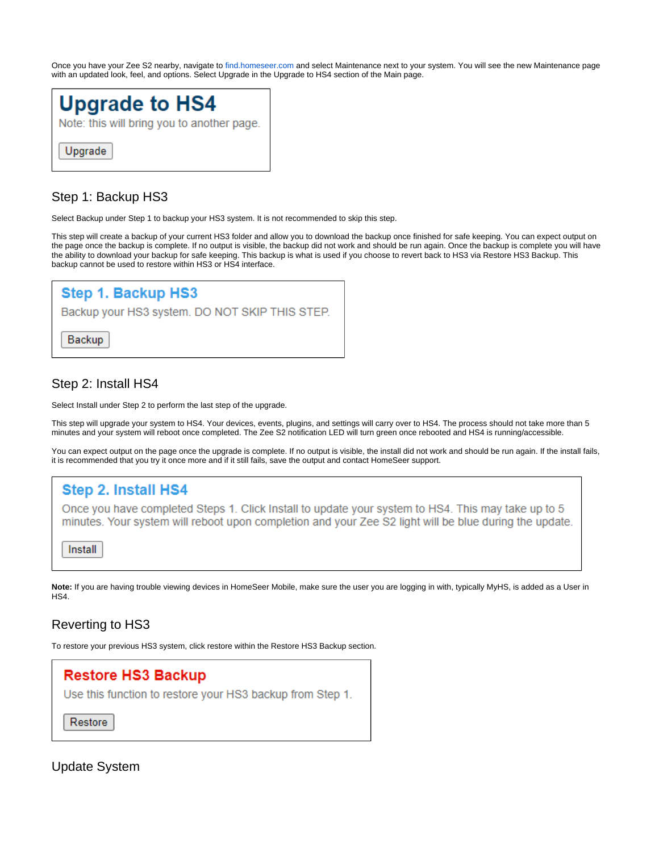Once you have your Zee S2 nearby, navigate to [find.homeseer.com](http://find.homeseer.com) and select Maintenance next to your system. You will see the new Maintenance page with an updated look, feel, and options. Select Upgrade in the Upgrade to HS4 section of the Main page.



# Step 1: Backup HS3

Select Backup under Step 1 to backup your HS3 system. It is not recommended to skip this step.

This step will create a backup of your current HS3 folder and allow you to download the backup once finished for safe keeping. You can expect output on the page once the backup is complete. If no output is visible, the backup did not work and should be run again. Once the backup is complete you will have the ability to download your backup for safe keeping. This backup is what is used if you choose to revert back to HS3 via Restore HS3 Backup. This backup cannot be used to restore within HS3 or HS4 interface.



## Step 2: Install HS4

Select Install under Step 2 to perform the last step of the upgrade.

This step will upgrade your system to HS4. Your devices, events, plugins, and settings will carry over to HS4. The process should not take more than 5 minutes and your system will reboot once completed. The Zee S2 notification LED will turn green once rebooted and HS4 is running/accessible.

You can expect output on the page once the upgrade is complete. If no output is visible, the install did not work and should be run again. If the install fails, it is recommended that you try it once more and if it still fails, save the output and contact HomeSeer support.



**Note:** If you are having trouble viewing devices in HomeSeer Mobile, make sure the user you are logging in with, typically MyHS, is added as a User in HS4.

## Reverting to HS3

To restore your previous HS3 system, click restore within the Restore HS3 Backup section.



Update System